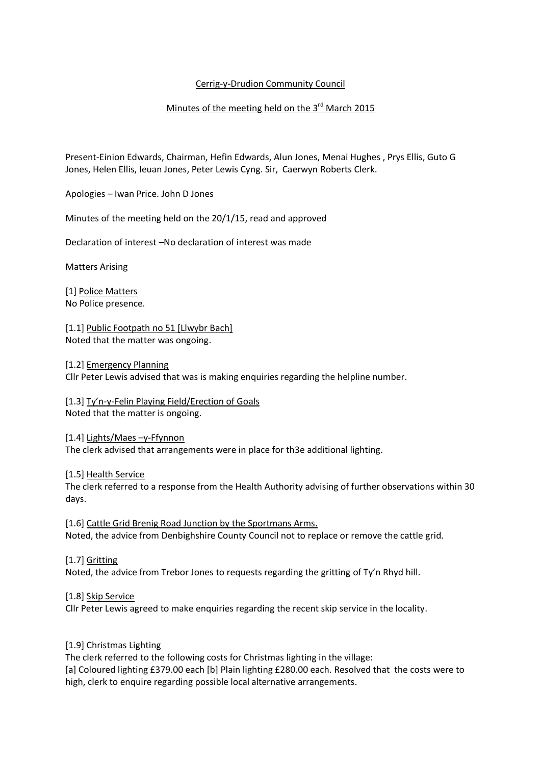## Cerrig-y-Drudion Community Council

## Minutes of the meeting held on the 3<sup>rd</sup> March 2015

Present-Einion Edwards, Chairman, Hefin Edwards, Alun Jones, Menai Hughes , Prys Ellis, Guto G Jones, Helen Ellis, Ieuan Jones, Peter Lewis Cyng. Sir, Caerwyn Roberts Clerk.

Apologies – Iwan Price. John D Jones

Minutes of the meeting held on the 20/1/15, read and approved

Declaration of interest –No declaration of interest was made

Matters Arising

[1] Police Matters No Police presence.

[1.1] Public Footpath no 51 [Llwybr Bach] Noted that the matter was ongoing.

[1.2] Emergency Planning Cllr Peter Lewis advised that was is making enquiries regarding the helpline number.

[1.3] Ty'n-y-Felin Playing Field/Erection of Goals Noted that the matter is ongoing.

[1.4] Lights/Maes –y-Ffynnon The clerk advised that arrangements were in place for th3e additional lighting.

[1.5] Health Service

The clerk referred to a response from the Health Authority advising of further observations within 30 days.

[1.6] Cattle Grid Brenig Road Junction by the Sportmans Arms. Noted, the advice from Denbighshire County Council not to replace or remove the cattle grid.

[1.7] Gritting Noted, the advice from Trebor Jones to requests regarding the gritting of Ty'n Rhyd hill.

[1.8] Skip Service Cllr Peter Lewis agreed to make enquiries regarding the recent skip service in the locality.

## [1.9] Christmas Lighting

The clerk referred to the following costs for Christmas lighting in the village: [a] Coloured lighting £379.00 each [b] Plain lighting £280.00 each. Resolved that the costs were to high, clerk to enquire regarding possible local alternative arrangements.